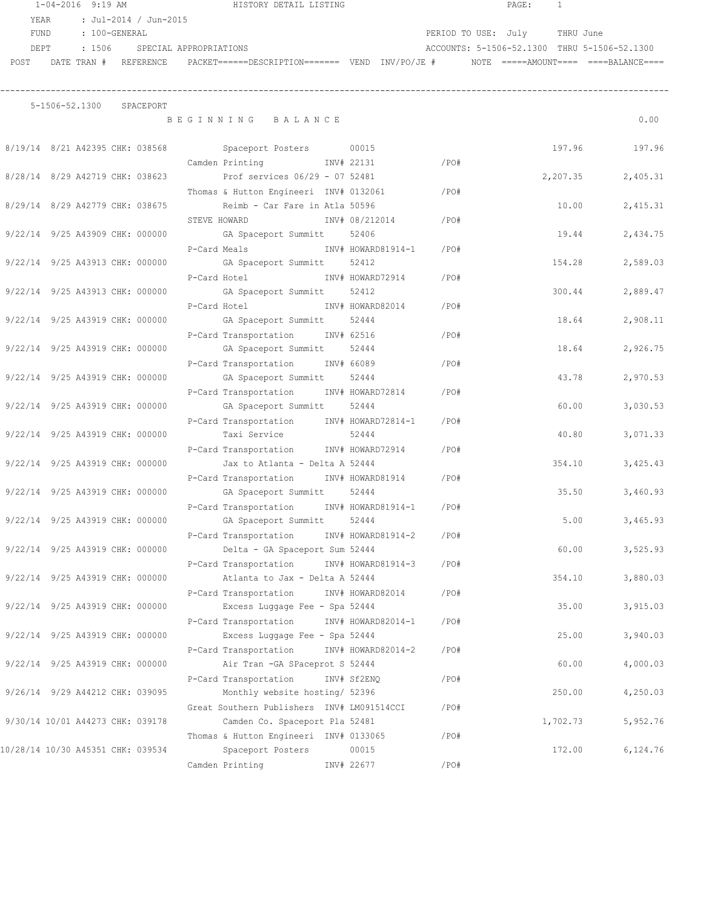|                                   | $1 - 04 - 2016$ 9:19 AM |                                 |                                    | HISTORY DETAIL LISTING                                                                                         |       |         |                               | PAGE:<br>1 |        |                                              |
|-----------------------------------|-------------------------|---------------------------------|------------------------------------|----------------------------------------------------------------------------------------------------------------|-------|---------|-------------------------------|------------|--------|----------------------------------------------|
| YEAR                              |                         | : Jul-2014 / Jun-2015           |                                    |                                                                                                                |       |         |                               |            |        |                                              |
|                                   | FUND : 100-GENERAL      |                                 |                                    |                                                                                                                |       |         | PERIOD TO USE: July THRU June |            |        |                                              |
|                                   |                         |                                 | DEPT : 1506 SPECIAL APPROPRIATIONS |                                                                                                                |       |         |                               |            |        | ACCOUNTS: 5-1506-52.1300 THRU 5-1506-52.1300 |
|                                   |                         |                                 |                                    | POST DATE TRAN # REFERENCE PACKET======DESCRIPTION======= VEND INV/PO/JE # NOTE =====AMOUNT==== ===BALANCE==== |       |         |                               |            |        |                                              |
|                                   |                         |                                 |                                    |                                                                                                                |       |         |                               |            |        |                                              |
|                                   |                         |                                 |                                    |                                                                                                                |       |         |                               |            |        |                                              |
|                                   |                         | 5-1506-52.1300 SPACEPORT        |                                    |                                                                                                                |       |         |                               |            |        |                                              |
|                                   |                         |                                 |                                    | BEGINNING BALANCE                                                                                              |       |         |                               |            |        | 0.00                                         |
|                                   |                         |                                 |                                    | 8/19/14 8/21 A42395 CHK: 038568 Spaceport Posters 00015                                                        |       |         |                               |            |        | 197.96<br>197.96                             |
|                                   |                         |                                 |                                    | Camden Printing NW# 22131                                                                                      |       | $/$ PO# |                               |            |        |                                              |
|                                   |                         |                                 |                                    | 8/28/14 8/29 A42719 CHK: 038623 Prof services 06/29 - 07 52481                                                 |       |         |                               |            |        | 2,207.35<br>2,405.31                         |
|                                   |                         |                                 |                                    | Thomas & Hutton Engineeri INV# 0132061 / PO#                                                                   |       |         |                               |            |        |                                              |
|                                   |                         |                                 |                                    | 8/29/14 8/29 A42779 CHK: 038675 Reimb - Car Fare in Atla 50596                                                 |       |         |                               |            |        | 10.00<br>2,415.31                            |
|                                   |                         |                                 |                                    | STEVE HOWARD INV# 08/212014                                                                                    |       | $/$ PO# |                               |            |        |                                              |
|                                   |                         |                                 |                                    | 9/22/14 9/25 A43909 CHK: 000000 GA Spaceport Summitt                                                           | 52406 |         |                               |            |        | 2,434.75<br>19.44                            |
|                                   |                         |                                 |                                    |                                                                                                                |       |         |                               |            |        |                                              |
|                                   |                         |                                 |                                    | P-Card Meals Manus November 2014-1914-1904                                                                     |       |         |                               |            |        |                                              |
| 9/22/14 9/25 A43913 CHK: 000000   |                         |                                 |                                    | GA Spaceport Summitt 52412                                                                                     |       |         |                               |            | 154.28 | 2,589.03                                     |
|                                   |                         |                                 |                                    | P-Card Hotel Motel NV# HOWARD72914 /PO#                                                                        |       |         |                               |            |        |                                              |
| 9/22/14 9/25 A43913 CHK: 000000   |                         |                                 |                                    | GA Spaceport Summitt 52412                                                                                     |       |         |                               |            |        | 300.44<br>2,889.47                           |
|                                   |                         |                                 |                                    | P-Card Hotel<br>INV# HOWARD82014 / PO#                                                                         |       |         |                               |            |        |                                              |
| 9/22/14 9/25 A43919 CHK: 000000   |                         |                                 |                                    | GA Spaceport Summitt 52444                                                                                     |       |         |                               |            |        | 18.64<br>2,908.11                            |
|                                   |                         |                                 |                                    | P-Card Transportation INV# 62516                                                                               |       | /PO#    |                               |            |        |                                              |
| 9/22/14 9/25 A43919 CHK: 000000   |                         |                                 |                                    | GA Spaceport Summitt                                                                                           | 52444 |         |                               |            |        | 18.64<br>2,926.75                            |
|                                   |                         |                                 |                                    | P-Card Transportation INV# 66089                                                                               |       | /PO#    |                               |            |        |                                              |
| 9/22/14 9/25 A43919 CHK: 000000   |                         |                                 |                                    | GA Spaceport Summitt                                                                                           | 52444 |         |                               |            |        | 43.78<br>2,970.53                            |
|                                   |                         |                                 |                                    | P-Card Transportation INV# HOWARD72814 /PO#                                                                    |       |         |                               |            |        |                                              |
|                                   |                         | 9/22/14 9/25 A43919 CHK: 000000 |                                    | GA Spaceport Summitt 52444                                                                                     |       |         |                               |            | 60.00  | 3,030.53                                     |
|                                   |                         |                                 |                                    | P-Card Transportation MV# HOWARD72814-1 /PO#                                                                   |       |         |                               |            |        |                                              |
| 9/22/14 9/25 A43919 CHK: 000000   |                         |                                 |                                    | Taxi Service 52444                                                                                             |       |         |                               |            | 40.80  | 3,071.33                                     |
|                                   |                         |                                 |                                    | P-Card Transportation INV# HOWARD72914                                                                         |       | /PO#    |                               |            |        |                                              |
| 9/22/14 9/25 A43919 CHK: 000000   |                         |                                 |                                    | Jax to Atlanta - Delta A 52444                                                                                 |       |         |                               |            | 354.10 | 3,425.43                                     |
|                                   |                         |                                 |                                    | P-Card Transportation INV# HOWARD81914                                                                         |       | /PO#    |                               |            |        |                                              |
|                                   |                         | 9/22/14 9/25 A43919 CHK: 000000 |                                    | GA Spaceport Summitt 52444                                                                                     |       |         |                               |            |        | 35.50<br>3,460.93                            |
|                                   |                         |                                 |                                    | P-Card Transportation INV# HOWARD81914-1                                                                       |       | /PO#    |                               |            |        |                                              |
| 9/22/14 9/25 A43919 CHK: 000000   |                         |                                 |                                    | GA Spaceport Summitt                                                                                           | 52444 |         |                               |            | 5.00   | 3,465.93                                     |
|                                   |                         |                                 |                                    | P-Card Transportation INV# HOWARD81914-2                                                                       |       | /PO#    |                               |            |        |                                              |
| 9/22/14 9/25 A43919 CHK: 000000   |                         |                                 |                                    | Delta - GA Spaceport Sum 52444                                                                                 |       |         |                               |            | 60.00  | 3,525.93                                     |
|                                   |                         |                                 |                                    | P-Card Transportation INV# HOWARD81914-3                                                                       |       | /PO#    |                               |            |        |                                              |
| 9/22/14 9/25 A43919 CHK: 000000   |                         |                                 |                                    | Atlanta to Jax - Delta A 52444                                                                                 |       |         |                               |            | 354.10 | 3,880.03                                     |
|                                   |                         |                                 |                                    | P-Card Transportation INV# HOWARD82014                                                                         |       | /PO#    |                               |            |        |                                              |
| 9/22/14 9/25 A43919 CHK: 000000   |                         |                                 |                                    | Excess Luggage Fee - Spa 52444                                                                                 |       |         |                               |            | 35.00  | 3,915.03                                     |
|                                   |                         |                                 |                                    | P-Card Transportation INV# HOWARD82014-1                                                                       |       | /PO#    |                               |            |        |                                              |
| 9/22/14 9/25 A43919 CHK: 000000   |                         |                                 |                                    | Excess Luggage Fee - Spa 52444                                                                                 |       |         |                               |            | 25.00  | 3,940.03                                     |
|                                   |                         |                                 |                                    |                                                                                                                |       |         |                               |            |        |                                              |
|                                   |                         |                                 |                                    | P-Card Transportation INV# HOWARD82014-2                                                                       |       | /PO#    |                               |            |        |                                              |
| 9/22/14 9/25 A43919 CHK: 000000   |                         |                                 |                                    | Air Tran - GA SPaceprot S 52444                                                                                |       |         |                               |            | 60.00  | 4,000.03                                     |
|                                   |                         |                                 |                                    | P-Card Transportation INV# Sf2ENQ                                                                              |       | /PO#    |                               |            |        |                                              |
| 9/26/14 9/29 A44212 CHK: 039095   |                         |                                 |                                    | Monthly website hosting/ 52396                                                                                 |       |         |                               |            | 250.00 | 4,250.03                                     |
|                                   |                         |                                 |                                    | Great Southern Publishers INV# LM091514CCI                                                                     |       | /PO#    |                               |            |        |                                              |
| 9/30/14 10/01 A44273 CHK: 039178  |                         |                                 |                                    | Camden Co. Spaceport Pla 52481                                                                                 |       |         |                               | 1,702.73   |        | 5,952.76                                     |
|                                   |                         |                                 |                                    | Thomas & Hutton Engineeri INV# 0133065                                                                         |       | /PO#    |                               |            |        |                                              |
| 10/28/14 10/30 A45351 CHK: 039534 |                         |                                 |                                    | Spaceport Posters                                                                                              | 00015 |         |                               |            | 172.00 | 6, 124.76                                    |
|                                   |                         |                                 |                                    | Camden Printing 1NV# 22677                                                                                     |       | /PO#    |                               |            |        |                                              |
|                                   |                         |                                 |                                    |                                                                                                                |       |         |                               |            |        |                                              |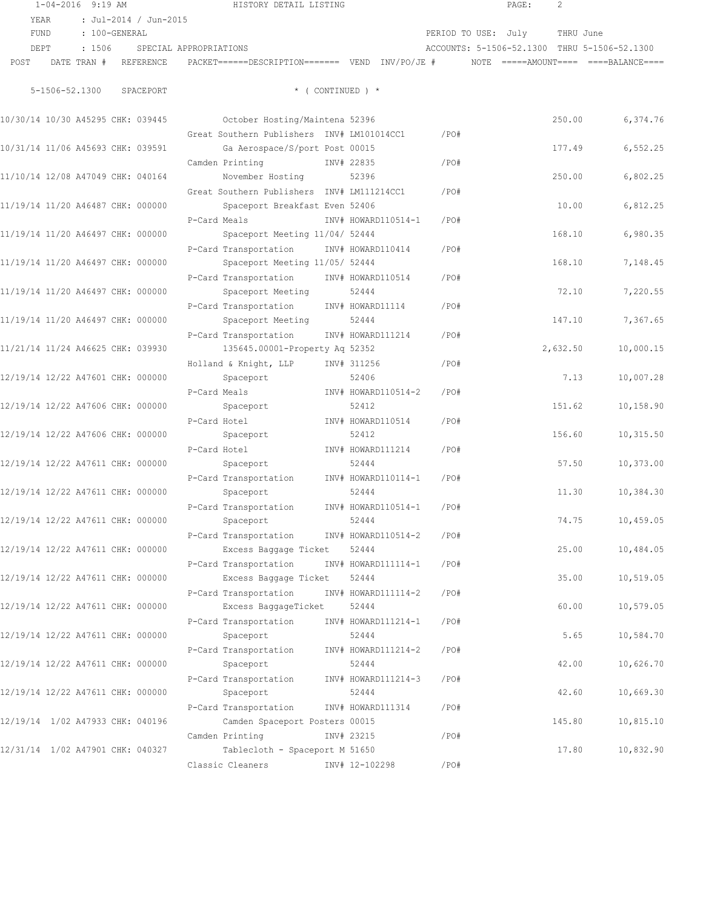|      | $1 - 04 - 2016$ 9:19 AM           |               |                       |                               | HISTORY DETAIL LISTING                                                                                    |                              |      |                     | PAGE: | 2         |                                              |
|------|-----------------------------------|---------------|-----------------------|-------------------------------|-----------------------------------------------------------------------------------------------------------|------------------------------|------|---------------------|-------|-----------|----------------------------------------------|
|      | YEAR                              |               | : Jul-2014 / Jun-2015 |                               |                                                                                                           |                              |      |                     |       |           |                                              |
|      | FUND                              | : 100-GENERAL |                       |                               |                                                                                                           |                              |      | PERIOD TO USE: July |       | THRU June |                                              |
|      | DEPT                              |               |                       | : 1506 SPECIAL APPROPRIATIONS |                                                                                                           |                              |      |                     |       |           | ACCOUNTS: 5-1506-52.1300 THRU 5-1506-52.1300 |
| POST |                                   |               |                       |                               | DATE TRAN # REFERENCE PACKET======DESCRIPTION======= VEND INV/PO/JE # NOTE =====AMOUNT==== ===BALANCE==== |                              |      |                     |       |           |                                              |
|      |                                   |               |                       |                               |                                                                                                           |                              |      |                     |       |           |                                              |
|      | 5-1506-52.1300                    |               | SPACEPORT             |                               |                                                                                                           | $*$ ( CONTINUED ) $*$        |      |                     |       |           |                                              |
|      | 10/30/14 10/30 A45295 CHK: 039445 |               |                       |                               | October Hosting/Maintena 52396                                                                            |                              |      |                     |       | 250.00    | 6,374.76                                     |
|      |                                   |               |                       |                               | Great Southern Publishers INV# LM101014CC1                                                                |                              | /PO# |                     |       |           |                                              |
|      | 10/31/14 11/06 A45693 CHK: 039591 |               |                       |                               | Ga Aerospace/S/port Post 00015                                                                            |                              |      |                     |       | 177.49    | 6,552.25                                     |
|      |                                   |               |                       |                               | Camden Printing<br>INV# 22835                                                                             |                              | /PO# |                     |       |           |                                              |
|      | 11/10/14 12/08 A47049 CHK: 040164 |               |                       |                               | November Hosting                                                                                          | 52396                        |      |                     |       | 250.00    | 6,802.25                                     |
|      |                                   |               |                       |                               | Great Southern Publishers INV# LM111214CC1                                                                |                              | /PO# |                     |       |           |                                              |
|      | 11/19/14 11/20 A46487 CHK: 000000 |               |                       |                               | Spaceport Breakfast Even 52406                                                                            |                              |      |                     |       | 10.00     | 6,812.25                                     |
|      |                                   |               |                       |                               | P-Card Meals                                                                                              | INV# HOWARD110514-1          | /PO# |                     |       |           |                                              |
|      | 11/19/14 11/20 A46497 CHK: 000000 |               |                       |                               | Spaceport Meeting 11/04/ 52444                                                                            |                              |      |                     |       | 168.10    | 6,980.35                                     |
|      |                                   |               |                       |                               | P-Card Transportation INV# HOWARD110414                                                                   |                              | /PO# |                     |       |           |                                              |
|      | 11/19/14 11/20 A46497 CHK: 000000 |               |                       |                               | Spaceport Meeting 11/05/ 52444                                                                            |                              |      |                     |       | 168.10    | 7,148.45                                     |
|      |                                   |               |                       |                               | P-Card Transportation INV# HOWARD110514                                                                   |                              | /PO# |                     |       |           |                                              |
|      | 11/19/14 11/20 A46497 CHK: 000000 |               |                       |                               | Spaceport Meeting 52444                                                                                   |                              |      |                     |       | 72.10     | 7,220.55                                     |
|      |                                   |               |                       |                               | P-Card Transportation INV# HOWARD11114                                                                    |                              | /PO# |                     |       |           |                                              |
|      | 11/19/14 11/20 A46497 CHK: 000000 |               |                       |                               | Spaceport Meeting                                                                                         | 52444                        |      |                     |       | 147.10    | 7,367.65                                     |
|      |                                   |               |                       |                               | P-Card Transportation                                                                                     | INV# HOWARD111214            | /PO# |                     |       |           |                                              |
|      | 11/21/14 11/24 A46625 CHK: 039930 |               |                       |                               | 135645.00001-Property Aq 52352                                                                            |                              |      |                     |       | 2,632.50  | 10,000.15                                    |
|      |                                   |               |                       |                               | Holland & Knight, LLP INV# 311256                                                                         |                              | /PO# |                     |       |           |                                              |
|      | 12/19/14 12/22 A47601 CHK: 000000 |               |                       |                               | Spaceport                                                                                                 | 52406                        |      |                     |       | 7.13      | 10,007.28                                    |
|      |                                   |               |                       |                               | P-Card Meals                                                                                              | INV# HOWARD110514-2          | /PO# |                     |       |           |                                              |
|      | 12/19/14 12/22 A47606 CHK: 000000 |               |                       |                               | Spaceport                                                                                                 | 52412                        |      |                     |       | 151.62    | 10,158.90                                    |
|      |                                   |               |                       |                               | P-Card Hotel                                                                                              | INV# HOWARD110514            | /PO# |                     |       |           |                                              |
|      | 12/19/14 12/22 A47606 CHK: 000000 |               |                       |                               | Spaceport                                                                                                 | 52412                        |      |                     |       | 156.60    | 10,315.50                                    |
|      |                                   |               |                       |                               | P-Card Hotel                                                                                              | INV# HOWARD111214            | /PO# |                     |       |           |                                              |
|      | 12/19/14 12/22 A47611 CHK: 000000 |               |                       |                               | Spaceport                                                                                                 | 52444                        |      |                     |       | 57.50     | 10,373.00                                    |
|      |                                   |               |                       |                               | P-Card Transportation                                                                                     | INV# HOWARD110114-1          | /PO# |                     |       |           |                                              |
|      | 12/19/14 12/22 A47611 CHK: 000000 |               |                       |                               | Spaceport                                                                                                 | 52444                        |      |                     |       | 11.30     | 10,384.30                                    |
|      |                                   |               |                       |                               | P-Card Transportation INV# HOWARD110514-1                                                                 |                              | /PO# |                     |       |           |                                              |
|      | 12/19/14 12/22 A47611 CHK: 000000 |               |                       |                               | Spaceport                                                                                                 | 52444                        |      |                     |       | 74.75     | 10,459.05                                    |
|      | 12/19/14 12/22 A47611 CHK: 000000 |               |                       |                               | P-Card Transportation<br>Excess Baggage Ticket                                                            | INV# HOWARD110514-2          | /PO# |                     |       | 25.00     | 10,484.05                                    |
|      |                                   |               |                       |                               |                                                                                                           | 52444                        |      |                     |       |           |                                              |
|      | 12/19/14 12/22 A47611 CHK: 000000 |               |                       |                               | P-Card Transportation                                                                                     | INV# HOWARD111114-1<br>52444 | /PO# |                     |       | 35.00     | 10,519.05                                    |
|      |                                   |               |                       |                               | Excess Baggage Ticket                                                                                     | INV# HOWARD111114-2          |      |                     |       |           |                                              |
|      | 12/19/14 12/22 A47611 CHK: 000000 |               |                       |                               | P-Card Transportation<br>Excess BaggageTicket                                                             | 52444                        | /PO# |                     |       | 60.00     | 10,579.05                                    |
|      |                                   |               |                       |                               | P-Card Transportation                                                                                     | INV# HOWARD111214-1          | /PO# |                     |       |           |                                              |
|      | 12/19/14 12/22 A47611 CHK: 000000 |               |                       |                               | Spaceport                                                                                                 | 52444                        |      |                     |       | 5.65      | 10,584.70                                    |
|      |                                   |               |                       |                               | P-Card Transportation                                                                                     | INV# HOWARD111214-2          | /PO# |                     |       |           |                                              |
|      | 12/19/14 12/22 A47611 CHK: 000000 |               |                       |                               | Spaceport                                                                                                 | 52444                        |      |                     |       | 42.00     | 10,626.70                                    |
|      |                                   |               |                       |                               | P-Card Transportation                                                                                     | INV# HOWARD111214-3          | /PO# |                     |       |           |                                              |
|      | 12/19/14 12/22 A47611 CHK: 000000 |               |                       |                               | Spaceport                                                                                                 | 52444                        |      |                     |       | 42.60     | 10,669.30                                    |
|      |                                   |               |                       |                               | P-Card Transportation                                                                                     | INV# HOWARD111314            | /PO# |                     |       |           |                                              |
|      | 12/19/14 1/02 A47933 CHK: 040196  |               |                       |                               | Camden Spaceport Posters 00015                                                                            |                              |      |                     |       | 145.80    | 10,815.10                                    |
|      |                                   |               |                       |                               | Camden Printing                                                                                           | INV# 23215                   | /PO# |                     |       |           |                                              |
|      | 12/31/14 1/02 A47901 CHK: 040327  |               |                       |                               | Tablecloth - Spaceport M 51650                                                                            |                              |      |                     |       | 17.80     | 10,832.90                                    |
|      |                                   |               |                       |                               | Classic Cleaners                                                                                          | INV# 12-102298               | /PO# |                     |       |           |                                              |
|      |                                   |               |                       |                               |                                                                                                           |                              |      |                     |       |           |                                              |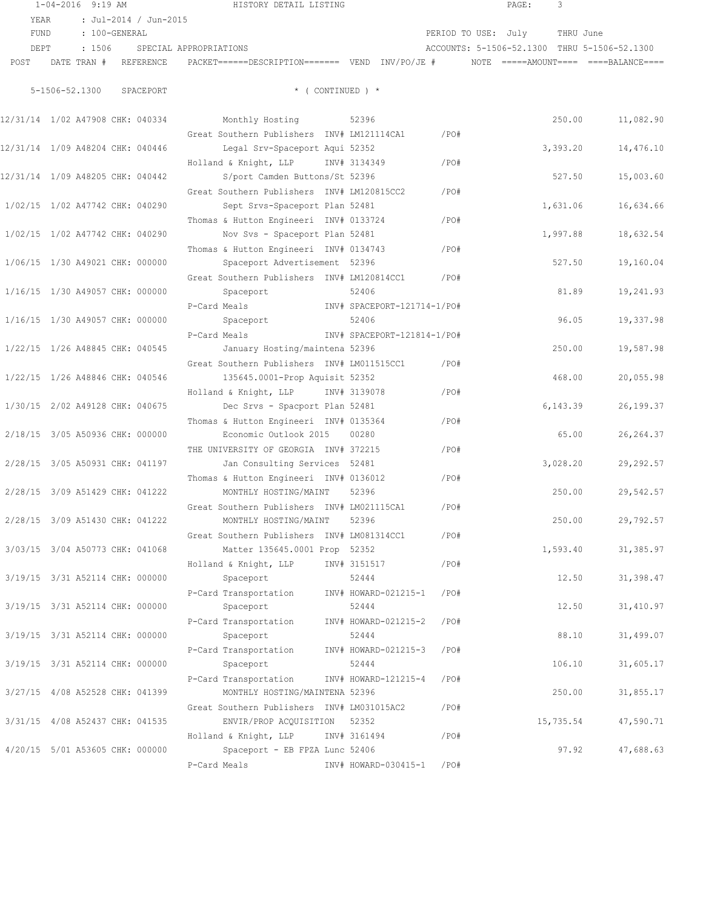|                                  | $1 - 04 - 2016$ 9:19 AM |                          |                               | HISTORY DETAIL LISTING                                                                                          |                             |         | PAGE:                         | 3         |                                              |
|----------------------------------|-------------------------|--------------------------|-------------------------------|-----------------------------------------------------------------------------------------------------------------|-----------------------------|---------|-------------------------------|-----------|----------------------------------------------|
| YEAR                             |                         | : Jul-2014 / Jun-2015    |                               |                                                                                                                 |                             |         |                               |           |                                              |
| FUND                             | : 100-GENERAL           |                          |                               |                                                                                                                 |                             |         | PERIOD TO USE: July THRU June |           |                                              |
| DEPT                             |                         |                          | : 1506 SPECIAL APPROPRIATIONS |                                                                                                                 |                             |         |                               |           | ACCOUNTS: 5-1506-52.1300 THRU 5-1506-52.1300 |
|                                  |                         |                          |                               | POST DATE TRAN # REFERENCE PACKET======DESCRIPTION======= VEND INV/PO/JE # NOTE =====AMOUNT==== ====BALANCE==== |                             |         |                               |           |                                              |
|                                  |                         |                          |                               |                                                                                                                 |                             |         |                               |           |                                              |
|                                  |                         | 5-1506-52.1300 SPACEPORT |                               |                                                                                                                 | $*$ ( CONTINUED ) $*$       |         |                               |           |                                              |
|                                  |                         |                          |                               | 12/31/14 1/02 A47908 CHK: 040334 Monthly Hosting 52396                                                          |                             |         |                               |           | 11,082.90<br>250.00                          |
|                                  |                         |                          |                               | Great Southern Publishers INV# LM121114CA1                                                                      |                             | /PO#    |                               |           |                                              |
| 12/31/14 1/09 A48204 CHK: 040446 |                         |                          |                               | Legal Srv-Spaceport Aqui 52352                                                                                  |                             |         |                               | 3,393.20  | 14,476.10                                    |
|                                  |                         |                          |                               | Holland & Knight, LLP INV# 3134349                                                                              |                             | /PO#    |                               |           |                                              |
| 12/31/14 1/09 A48205 CHK: 040442 |                         |                          |                               | S/port Camden Buttons/St 52396                                                                                  |                             |         |                               | 527.50    | 15,003.60                                    |
|                                  |                         |                          |                               | Great Southern Publishers INV# LM120815CC2                                                                      |                             | /PO#    |                               |           |                                              |
| 1/02/15 1/02 A47742 CHK: 040290  |                         |                          |                               | Sept Srvs-Spaceport Plan 52481                                                                                  |                             |         |                               | 1,631.06  | 16,634.66                                    |
|                                  |                         |                          |                               | Thomas & Hutton Engineeri INV# 0133724                                                                          |                             | /PO#    |                               |           |                                              |
| 1/02/15 1/02 A47742 CHK: 040290  |                         |                          |                               | Nov Svs - Spaceport Plan 52481                                                                                  |                             |         |                               | 1,997.88  | 18,632.54                                    |
|                                  |                         |                          |                               | Thomas & Hutton Engineeri INV# 0134743                                                                          |                             | $/$ PO# |                               |           |                                              |
| 1/06/15 1/30 A49021 CHK: 000000  |                         |                          |                               | Spaceport Advertisement 52396                                                                                   |                             |         |                               | 527.50    | 19,160.04                                    |
|                                  |                         |                          |                               | Great Southern Publishers INV# LM120814CC1                                                                      |                             | /PO#    |                               |           |                                              |
| 1/16/15 1/30 A49057 CHK: 000000  |                         |                          |                               | Spaceport                                                                                                       | 52406                       |         |                               | 81.89     | 19,241.93                                    |
|                                  |                         |                          |                               | P-Card Meals Manus (NV# SPACEPORT-121714-1/PO#                                                                  |                             |         |                               |           |                                              |
| 1/16/15 1/30 A49057 CHK: 000000  |                         |                          |                               | Spaceport                                                                                                       | 52406                       |         |                               | 96.05     | 19,337.98                                    |
|                                  |                         |                          |                               | P-Card Meals                                                                                                    |                             |         |                               |           |                                              |
|                                  |                         |                          |                               |                                                                                                                 | INV# SPACEPORT-121814-1/PO# |         |                               |           |                                              |
| 1/22/15 1/26 A48845 CHK: 040545  |                         |                          |                               | January Hosting/maintena 52396                                                                                  |                             |         |                               | 250.00    | 19,587.98                                    |
|                                  |                         |                          |                               | Great Southern Publishers INV# LM011515CC1                                                                      |                             | /PO#    |                               |           |                                              |
| 1/22/15 1/26 A48846 CHK: 040546  |                         |                          |                               | 135645.0001-Prop Aquisit 52352                                                                                  |                             |         |                               | 468.00    | 20,055.98                                    |
|                                  |                         |                          |                               | Holland & Knight, LLP INV# 3139078                                                                              |                             | $/$ PO# |                               |           |                                              |
| 1/30/15 2/02 A49128 CHK: 040675  |                         |                          |                               | Dec Srvs - Spacport Plan 52481                                                                                  |                             |         |                               | 6,143.39  | 26,199.37                                    |
|                                  |                         |                          |                               | Thomas & Hutton Engineeri INV# 0135364                                                                          |                             | $/$ PO# |                               |           |                                              |
| 2/18/15 3/05 A50936 CHK: 000000  |                         |                          |                               | Economic Outlook 2015                                                                                           | 00280                       |         |                               | 65.00     | 26, 264.37                                   |
|                                  |                         |                          |                               | THE UNIVERSITY OF GEORGIA INV# 372215                                                                           |                             | /PO#    |                               |           |                                              |
| 2/28/15 3/05 A50931 CHK: 041197  |                         |                          |                               | Jan Consulting Services 52481                                                                                   |                             |         |                               | 3,028.20  | 29, 292.57                                   |
|                                  |                         |                          |                               | Thomas & Hutton Engineeri INV# 0136012                                                                          |                             | /PO#    |                               |           |                                              |
| 2/28/15 3/09 A51429 CHK: 041222  |                         |                          |                               | MONTHLY HOSTING/MAINT                                                                                           | 52396                       |         |                               | 250.00    | 29,542.57                                    |
|                                  |                         |                          |                               | Great Southern Publishers INV# LM021115CA1                                                                      |                             | /PO#    |                               |           |                                              |
| 2/28/15 3/09 A51430 CHK: 041222  |                         |                          |                               | MONTHLY HOSTING/MAINT                                                                                           | 52396                       |         |                               | 250.00    | 29,792.57                                    |
|                                  |                         |                          |                               | Great Southern Publishers INV# LM081314CC1                                                                      |                             | /PO#    |                               |           |                                              |
| 3/03/15 3/04 A50773 CHK: 041068  |                         |                          |                               | Matter 135645.0001 Prop 52352                                                                                   |                             |         |                               | 1,593.40  | 31, 385.97                                   |
|                                  |                         |                          |                               | Holland & Knight, LLP                                                                                           | INV# 3151517                | /PO#    |                               |           |                                              |
| 3/19/15 3/31 A52114 CHK: 000000  |                         |                          |                               | Spaceport                                                                                                       | 52444                       |         |                               | 12.50     | 31,398.47                                    |
|                                  |                         |                          |                               | P-Card Transportation                                                                                           | INV# HOWARD-021215-1 /PO#   |         |                               |           |                                              |
| 3/19/15 3/31 A52114 CHK: 000000  |                         |                          |                               | Spaceport                                                                                                       | 52444                       |         |                               | 12.50     | 31,410.97                                    |
|                                  |                         |                          |                               | P-Card Transportation                                                                                           | INV# HOWARD-021215-2        | /PO#    |                               |           |                                              |
| 3/19/15 3/31 A52114 CHK: 000000  |                         |                          |                               | Spaceport                                                                                                       | 52444                       |         |                               | 88.10     | 31,499.07                                    |
|                                  |                         |                          |                               | P-Card Transportation                                                                                           | INV# HOWARD-021215-3        | /PO#    |                               |           |                                              |
| 3/19/15 3/31 A52114 CHK: 000000  |                         |                          |                               | Spaceport                                                                                                       | 52444                       |         |                               | 106.10    | 31,605.17                                    |
|                                  |                         |                          |                               |                                                                                                                 |                             |         |                               |           |                                              |
|                                  |                         |                          |                               | P-Card Transportation                                                                                           | INV# HOWARD-121215-4 /PO#   |         |                               |           |                                              |
| 3/27/15 4/08 A52528 CHK: 041399  |                         |                          |                               | MONTHLY HOSTING/MAINTENA 52396                                                                                  |                             |         |                               | 250.00    | 31,855.17                                    |
|                                  |                         |                          |                               | Great Southern Publishers INV# LM031015AC2                                                                      |                             | /PO#    |                               |           |                                              |
| 3/31/15 4/08 A52437 CHK: 041535  |                         |                          |                               | ENVIR/PROP ACQUISITION 52352                                                                                    |                             |         |                               | 15,735.54 | 47,590.71                                    |
|                                  |                         |                          |                               | Holland & Knight, LLP INV# 3161494                                                                              |                             | /PO#    |                               |           |                                              |
| 4/20/15 5/01 A53605 CHK: 000000  |                         |                          |                               | Spaceport - EB FPZA Lunc 52406                                                                                  |                             |         |                               | 97.92     | 47,688.63                                    |
|                                  |                         |                          |                               | P-Card Meals                                                                                                    | INV# HOWARD-030415-1 /PO#   |         |                               |           |                                              |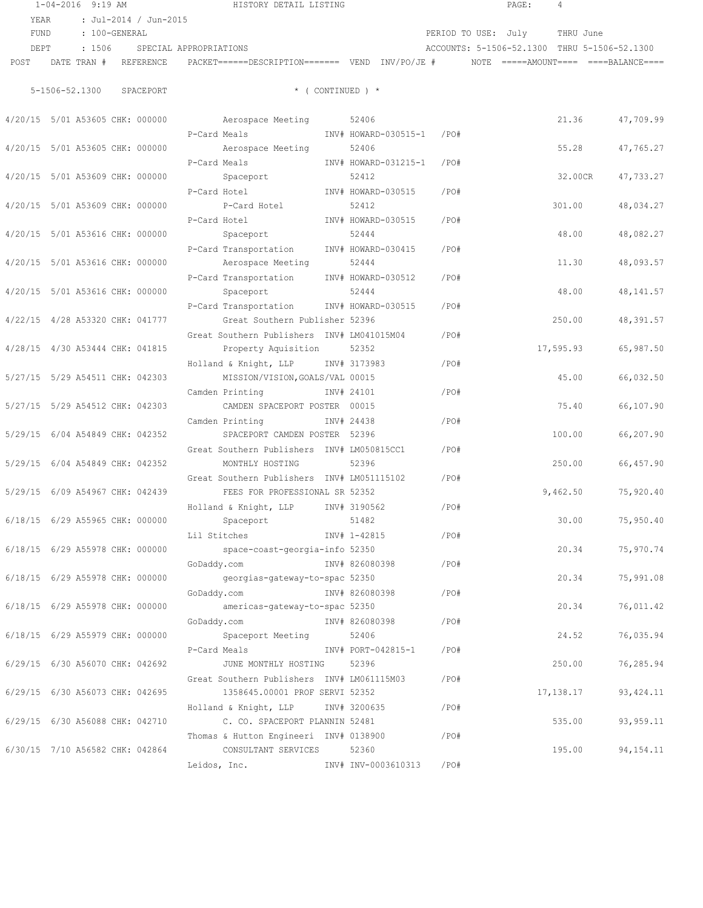|                                 | $1 - 04 - 2016$ 9:19 AM |                                 |                        | HISTORY DETAIL LISTING                                                                                     |       |                           |      | PAGE:                         | $\overline{4}$ |                                              |
|---------------------------------|-------------------------|---------------------------------|------------------------|------------------------------------------------------------------------------------------------------------|-------|---------------------------|------|-------------------------------|----------------|----------------------------------------------|
| YEAR                            |                         | : Jul-2014 / Jun-2015           |                        |                                                                                                            |       |                           |      |                               |                |                                              |
| FUND                            | : 100-GENERAL           |                                 |                        |                                                                                                            |       |                           |      | PERIOD TO USE: July THRU June |                |                                              |
| DEPT                            | : 1506                  |                                 | SPECIAL APPROPRIATIONS |                                                                                                            |       |                           |      |                               |                | ACCOUNTS: 5-1506-52.1300 THRU 5-1506-52.1300 |
| POST                            |                         |                                 |                        | DATE TRAN # REFERENCE PACKET======DESCRIPTION======= VEND INV/PO/JE # NOTE =====AMOUNT==== ====BALANCE==== |       |                           |      |                               |                |                                              |
|                                 |                         |                                 |                        |                                                                                                            |       |                           |      |                               |                |                                              |
|                                 |                         | 5-1506-52.1300 SPACEPORT        |                        | $*$ ( CONTINUED ) $*$                                                                                      |       |                           |      |                               |                |                                              |
|                                 |                         |                                 |                        | 4/20/15 5/01 A53605 CHK: 000000 Aerospace Meeting 52406                                                    |       |                           |      |                               |                | 21.36<br>47,709.99                           |
|                                 |                         |                                 | P-Card Meals           |                                                                                                            |       | INV# HOWARD-030515-1 /PO# |      |                               |                |                                              |
| 4/20/15 5/01 A53605 CHK: 000000 |                         |                                 |                        | Aerospace Meeting                                                                                          | 52406 |                           |      |                               |                | 55.28<br>47,765.27                           |
|                                 |                         |                                 | P-Card Meals           |                                                                                                            |       | INV# HOWARD-031215-1 /PO# |      |                               |                |                                              |
| 4/20/15 5/01 A53609 CHK: 000000 |                         |                                 |                        | Spaceport                                                                                                  | 52412 |                           |      |                               | 32.00CR        | 47,733.27                                    |
|                                 |                         |                                 | P-Card Hotel           | INV# HOWARD-030515                                                                                         |       |                           | /PO# |                               |                |                                              |
| 4/20/15 5/01 A53609 CHK: 000000 |                         |                                 |                        | P-Card Hotel                                                                                               | 52412 |                           |      |                               | 301.00         | 48,034.27                                    |
|                                 |                         |                                 | P-Card Hotel           | INV# HOWARD-030515                                                                                         |       |                           | /PO# |                               |                |                                              |
| 4/20/15 5/01 A53616 CHK: 000000 |                         |                                 |                        | Spaceport                                                                                                  | 52444 |                           |      |                               | 48.00          | 48,082.27                                    |
|                                 |                         |                                 |                        | P-Card Transportation INV# HOWARD-030415                                                                   |       |                           | /PO# |                               |                |                                              |
| 4/20/15 5/01 A53616 CHK: 000000 |                         |                                 |                        | Aerospace Meeting                                                                                          | 52444 |                           |      |                               | 11.30          | 48,093.57                                    |
|                                 |                         |                                 |                        | P-Card Transportation INV# HOWARD-030512                                                                   |       |                           | /PO# |                               |                |                                              |
| 4/20/15 5/01 A53616 CHK: 000000 |                         |                                 |                        | Spaceport                                                                                                  | 52444 |                           |      |                               | 48.00          | 48, 141.57                                   |
|                                 |                         |                                 |                        | P-Card Transportation INV# HOWARD-030515                                                                   |       |                           | /PO# |                               |                |                                              |
|                                 |                         | 4/22/15 4/28 A53320 CHK: 041777 |                        | Great Southern Publisher 52396                                                                             |       |                           |      |                               | 250.00         | 48,391.57                                    |
|                                 |                         |                                 |                        | Great Southern Publishers INV# LM041015M04                                                                 |       |                           | /PO# |                               |                |                                              |
| 4/28/15 4/30 A53444 CHK: 041815 |                         |                                 |                        | Property Aquisition 52352                                                                                  |       |                           |      |                               |                | 17,595.93<br>65,987.50                       |
|                                 |                         |                                 |                        | Holland & Knight, LLP INV# 3173983                                                                         |       |                           | /PO# |                               |                |                                              |
| 5/27/15 5/29 A54511 CHK: 042303 |                         |                                 |                        | MISSION/VISION, GOALS/VAL 00015                                                                            |       |                           |      |                               | 45.00          | 66,032.50                                    |
|                                 |                         |                                 |                        | Camden Printing NV# 24101                                                                                  |       |                           | /PO# |                               |                |                                              |
| 5/27/15 5/29 A54512 CHK: 042303 |                         |                                 |                        | CAMDEN SPACEPORT POSTER 00015                                                                              |       |                           |      |                               | 75.40          | 66,107.90                                    |
|                                 |                         |                                 |                        | Camden Printing NV# 24438                                                                                  |       |                           | /PO# |                               |                |                                              |
|                                 |                         | 5/29/15 6/04 A54849 CHK: 042352 |                        | SPACEPORT CAMDEN POSTER 52396                                                                              |       |                           |      |                               | 100.00         | 66,207.90                                    |
|                                 |                         |                                 |                        | Great Southern Publishers INV# LM050815CC1                                                                 |       |                           | /PO# |                               |                |                                              |
| 5/29/15 6/04 A54849 CHK: 042352 |                         |                                 |                        | MONTHLY HOSTING                                                                                            | 52396 |                           |      |                               | 250.00         | 66,457.90                                    |
|                                 |                         |                                 |                        | Great Southern Publishers INV# LM051115102                                                                 |       |                           | /PO# |                               |                |                                              |
| 5/29/15 6/09 A54967 CHK: 042439 |                         |                                 |                        | FEES FOR PROFESSIONAL SR 52352                                                                             |       |                           |      |                               |                | 9,462.50<br>75,920.40                        |
|                                 |                         |                                 |                        | Holland & Knight, LLP INV# 3190562                                                                         |       |                           | /PO# |                               |                |                                              |
| 6/18/15 6/29 A55965 CHK: 000000 |                         |                                 |                        | Spaceport                                                                                                  | 51482 |                           |      |                               |                | 75,950.40<br>30.00                           |
|                                 |                         |                                 |                        | Lil Stitches NV# 1-42815                                                                                   |       |                           | /PO# |                               |                |                                              |
|                                 |                         |                                 |                        | $6/18/15$ $6/29$ A55978 CHK: 000000 space-coast-georgia-info 52350                                         |       |                           |      |                               |                | 75,970.74<br>20.34                           |
|                                 |                         |                                 |                        |                                                                                                            |       |                           | /PO# |                               |                |                                              |
|                                 |                         |                                 |                        | $6/18/15$ $6/29$ A55978 CHK: 000000 georgias-gateway-to-spac 52350                                         |       |                           |      |                               |                | 20.34<br>75,991.08                           |
|                                 |                         |                                 |                        |                                                                                                            |       |                           | /PO# |                               |                |                                              |
| 6/18/15 6/29 A55978 CHK: 000000 |                         |                                 |                        | americas-gateway-to-spac 52350                                                                             |       |                           |      |                               |                | 20.34<br>76,011.42                           |
|                                 |                         |                                 |                        | GoDaddy.com<br>INV# 826080398                                                                              |       |                           | /PO# |                               |                |                                              |
| 6/18/15 6/29 A55979 CHK: 000000 |                         |                                 |                        | Spaceport Meeting 52406                                                                                    |       |                           |      |                               |                | 24.52<br>76,035.94                           |
|                                 |                         |                                 |                        | P-Card Meals Market Market No. 1874 PORT-042815-1 / PO#                                                    |       |                           |      |                               |                |                                              |
|                                 |                         | 6/29/15 6/30 A56070 CHK: 042692 |                        | JUNE MONTHLY HOSTING 52396                                                                                 |       |                           |      |                               | 250.00         | 76,285.94                                    |
|                                 |                         |                                 |                        | Great Southern Publishers INV# LM061115M03                                                                 |       |                           | /PO# |                               |                |                                              |
| 6/29/15 6/30 A56073 CHK: 042695 |                         |                                 |                        | 1358645.00001 PROF SERVI 52352                                                                             |       |                           |      |                               |                | 17, 138. 17<br>93, 424.11                    |
|                                 |                         |                                 |                        | Holland & Knight, LLP INV# 3200635                                                                         |       |                           | /PO# |                               |                |                                              |
| 6/29/15 6/30 A56088 CHK: 042710 |                         |                                 |                        | C. CO. SPACEPORT PLANNIN 52481                                                                             |       |                           |      |                               |                | 535.00<br>93, 959.11                         |
|                                 |                         |                                 |                        | Thomas & Hutton Engineeri INV# 0138900                                                                     |       |                           | /PO# |                               |                |                                              |
|                                 |                         | 6/30/15 7/10 A56582 CHK: 042864 |                        | CONSULTANT SERVICES                                                                                        | 52360 |                           |      |                               |                | 195.00<br>94, 154. 11                        |
|                                 |                         |                                 |                        | Leidos, Inc. 1NV# INV-0003610313                                                                           |       |                           | /PO# |                               |                |                                              |
|                                 |                         |                                 |                        |                                                                                                            |       |                           |      |                               |                |                                              |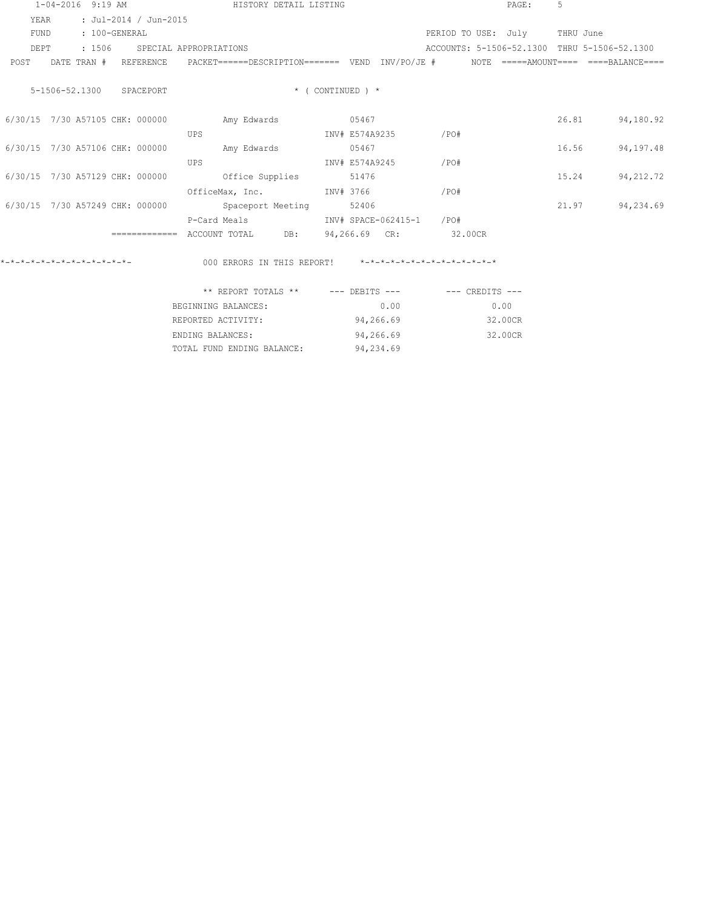| $1 - 04 - 2016$ 9:19 AM                                                                                        | HISTORY DETAIL LISTING                                  |                          | PAGE:                                        | $5^{\circ}$         |
|----------------------------------------------------------------------------------------------------------------|---------------------------------------------------------|--------------------------|----------------------------------------------|---------------------|
| : Jul-2014 / Jun-2015<br>YEAR                                                                                  |                                                         |                          |                                              |                     |
| FUND<br>: 100-GENERAL                                                                                          |                                                         |                          | PERIOD TO USE: July THRU June                |                     |
| : 1506 SPECIAL APPROPRIATIONS<br>DEPT                                                                          |                                                         |                          | ACCOUNTS: 5-1506-52.1300 THRU 5-1506-52.1300 |                     |
| POST DATE TRAN # REFERENCE PACKET=====DESCRIPTION======= VEND INV/PO/JE # NOTE =====AMOUNT==== ====BALANCE==== |                                                         |                          |                                              |                     |
| 5-1506-52.1300 SPACEPORT                                                                                       |                                                         | $*$ ( CONTINUED ) $*$    |                                              |                     |
| 6/30/15 7/30 A57105 CHK: 000000                                                                                | Amy Edwards 05467                                       |                          |                                              | 26.81<br>94,180.92  |
|                                                                                                                | UPS                                                     | INV# E574A9235 /PO#      |                                              |                     |
| 6/30/15 7/30 A57106 CHK: 000000                                                                                | Amy Edwards 05467                                       |                          |                                              | 94,197.48<br>16.56  |
|                                                                                                                | INV# E574A9245<br>UPS                                   |                          | /PO#                                         |                     |
| 6/30/15 7/30 A57129 CHK: 000000                                                                                | Office Supplies 51476                                   |                          |                                              | 94, 212.72<br>15.24 |
|                                                                                                                | OfficeMax, Inc. INV# 3766                               |                          | /PO#                                         |                     |
| 6/30/15 7/30 A57249 CHK: 000000                                                                                | Spaceport Meeting 52406                                 |                          |                                              | 94,234.69<br>21.97  |
|                                                                                                                | P-Card Meals                                            | INV# SPACE-062415-1 /PO# |                                              |                     |
|                                                                                                                | ============ ACCOUNT TOTAL DB: 94,266.69 CR: 32.00CR    |                          |                                              |                     |
|                                                                                                                |                                                         |                          |                                              |                     |
|                                                                                                                | ** REPORT TOTALS ** $---$ DEBITS $-- ---$ CREDITS $---$ |                          |                                              |                     |
|                                                                                                                | BEGINNING BALANCES:                                     | 0.00                     | 0.00                                         |                     |
|                                                                                                                | REPORTED ACTIVITY:                                      | 94,266.69                | 32.00CR                                      |                     |

ENDING BALANCES: 94,266.69 32.00CR

TOTAL FUND ENDING BALANCE: 94,234.69